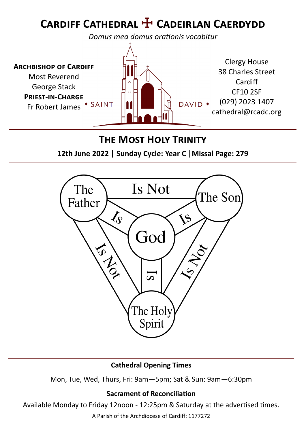# **Cardiff Cathedral** ☩ **Cadeirlan Caerdydd**

*Domus mea domus orationis vocabitur*



#### **The Most Holy Trinity**

**12th June 2022 | Sunday Cycle: Year C |Missal Page: 279**



#### **Cathedral Opening Times**

Mon, Tue, Wed, Thurs, Fri: 9am—5pm; Sat & Sun: 9am—6:30pm

#### **Sacrament of Reconciliation**

Available Monday to Friday 12noon - 12:25pm & Saturday at the advertised times.

A Parish of the Archdiocese of Cardiff: 1177272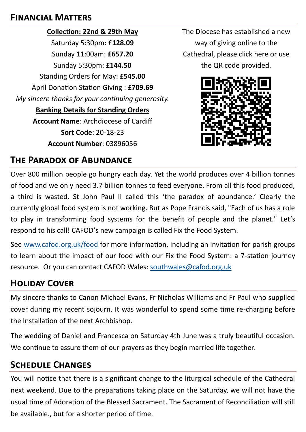#### **Financial Matters**

**Collection: 22nd & 29th May** Saturday 5:30pm: £**128.09** Sunday 11:00am: **£657.20** Sunday 5:30pm: **£144.50** Standing Orders for May: **£545.00** April Donation Station Giving : **£709.69** *My sincere thanks for your continuing generosity.*  **Banking Details for Standing Orders Account Name**: Archdiocese of Cardiff **Sort Code**: 20-18-23 **Account Number**: 03896056

The Diocese has established a new way of giving online to the Cathedral, please click here or use the QR code provided.



#### **The Paradox of Abundance**

Over 800 million people go hungry each day. Yet the world produces over 4 billion tonnes of food and we only need 3.7 billion tonnes to feed everyone. From all this food produced, a third is wasted. St John Paul II called this 'the paradox of abundance.' Clearly the currently global food system is not working. But as Pope Francis said, "Each of us has a role to play in transforming food systems for the benefit of people and the planet." Let's respond to his call! CAFOD's new campaign is called Fix the Food System.

See [www.cafod.org.uk/food](http://www.cafod.org.uk/food) for more information, including an invitation for parish groups to learn about the impact of our food with our Fix the Food System: a 7-station journey resource. Or you can contact CAFOD Wales: [southwales@cafod.org.uk](mailto:southwales@cafod.org.uk)

## **Holiday Cover**

My sincere thanks to Canon Michael Evans, Fr Nicholas Williams and Fr Paul who supplied cover during my recent sojourn. It was wonderful to spend some time re-charging before the Installation of the next Archbishop.

The wedding of Daniel and Francesca on Saturday 4th June was a truly beautiful occasion. We continue to assure them of our prayers as they begin married life together.

## **Schedule Changes**

You will notice that there is a significant change to the liturgical schedule of the Cathedral next weekend. Due to the preparations taking place on the Saturday, we will not have the usual time of Adoration of the Blessed Sacrament. The Sacrament of Reconciliation will still be available., but for a shorter period of time.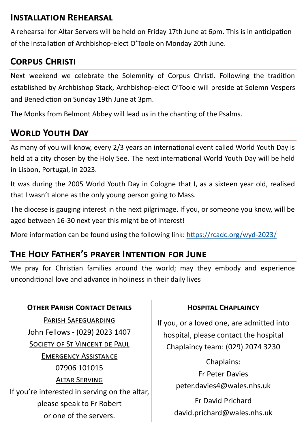#### **Installation Rehearsal**

A rehearsal for Altar Servers will be held on Friday 17th June at 6pm. This is in anticipation of the Installation of Archbishop-elect O'Toole on Monday 20th June.

## **Corpus Christi**

Next weekend we celebrate the Solemnity of Corpus Christi. Following the tradition established by Archbishop Stack, Archbishop-elect O'Toole will preside at Solemn Vespers and Benediction on Sunday 19th June at 3pm.

The Monks from Belmont Abbey will lead us in the chanting of the Psalms.

## **World Youth Day**

As many of you will know, every 2/3 years an international event called World Youth Day is held at a city chosen by the Holy See. The next international World Youth Day will be held in Lisbon, Portugal, in 2023.

It was during the 2005 World Youth Day in Cologne that I, as a sixteen year old, realised that I wasn't alone as the only young person going to Mass.

The diocese is gauging interest in the next pilgrimage. If you, or someone you know, will be aged between 16-30 next year this might be of interest!

More information can be found using the following link: [https://rcadc.org/wyd](https://rcadc.org/wyd-2023/)-2023/

## **The Holy Father's prayer Intention for June**

We pray for Christian families around the world; may they embody and experience unconditional love and advance in holiness in their daily lives

#### **OTHER PARISH CONTACT DETAILS CONSERVANT CHAPLAINCY**

Parish Safeguarding John Fellows - (029) 2023 1407 SOCIETY OF ST VINCENT DE PAUL Emergency Assistance 07906 101015 Altar Serving If you're interested in serving on the altar, please speak to Fr Robert or one of the servers.

If you, or a loved one, are admitted into hospital, please contact the hospital Chaplaincy team: (029) 2074 3230

> Chaplains: Fr Peter Davies peter.davies4@wales.nhs.uk

Fr David Prichard david.prichard@wales.nhs.uk